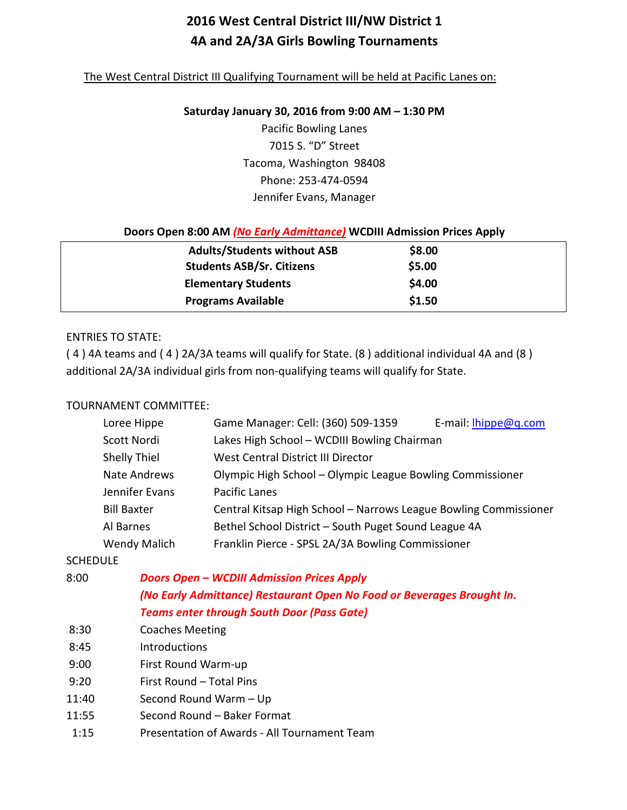# **2016 West Central District III/NW District 1 4A and 2A/3A Girls Bowling Tournaments**

#### The West Central District III Qualifying Tournament will be held at Pacific Lanes on:

#### **Saturday January 30, 2016 from 9:00 AM – 1:30 PM**

Pacific Bowling Lanes 7015 S. "D" Street Tacoma, Washington 98408 Phone: 253-474-0594 Jennifer Evans, Manager

#### **Doors Open 8:00 AM** *(No Early Admittance)* **WCDIII Admission Prices Apply**

| <b>Adults/Students without ASB</b> | \$8.00 |  |
|------------------------------------|--------|--|
| <b>Students ASB/Sr. Citizens</b>   | \$5.00 |  |
| <b>Elementary Students</b>         | \$4.00 |  |
| <b>Programs Available</b>          | \$1.50 |  |

#### ENTRIES TO STATE:

( 4 ) 4A teams and ( 4 ) 2A/3A teams will qualify for State. (8 ) additional individual 4A and (8 ) additional 2A/3A individual girls from non-qualifying teams will qualify for State.

#### TOURNAMENT COMMITTEE:

| Loree Hippe         | Game Manager: Cell: (360) 509-1359                               | E-mail: <i>hippe@q.com</i> |
|---------------------|------------------------------------------------------------------|----------------------------|
| Scott Nordi         | Lakes High School - WCDIII Bowling Chairman                      |                            |
| <b>Shelly Thiel</b> | West Central District III Director                               |                            |
| Nate Andrews        | Olympic High School - Olympic League Bowling Commissioner        |                            |
| Jennifer Evans      | Pacific Lanes                                                    |                            |
| <b>Bill Baxter</b>  | Central Kitsap High School - Narrows League Bowling Commissioner |                            |
| Al Barnes           | Bethel School District - South Puget Sound League 4A             |                            |
| <b>Wendy Malich</b> | Franklin Pierce - SPSL 2A/3A Bowling Commissioner                |                            |

| <b>SCHEDULE</b> |                                                                        |
|-----------------|------------------------------------------------------------------------|
| 8:00            | <b>Doors Open - WCDIII Admission Prices Apply</b>                      |
|                 | (No Early Admittance) Restaurant Open No Food or Beverages Brought In. |
|                 | <b>Teams enter through South Door (Pass Gate)</b>                      |
| 8:30            | <b>Coaches Meeting</b>                                                 |
| 8:45            | <b>Introductions</b>                                                   |
| 9:00            | First Round Warm-up                                                    |
| 9:20            | First Round – Total Pins                                               |
| 11:40           | Second Round Warm - Up                                                 |
| 11:55           | Second Round - Baker Format                                            |
| 1:15            | Presentation of Awards - All Tournament Team                           |
|                 |                                                                        |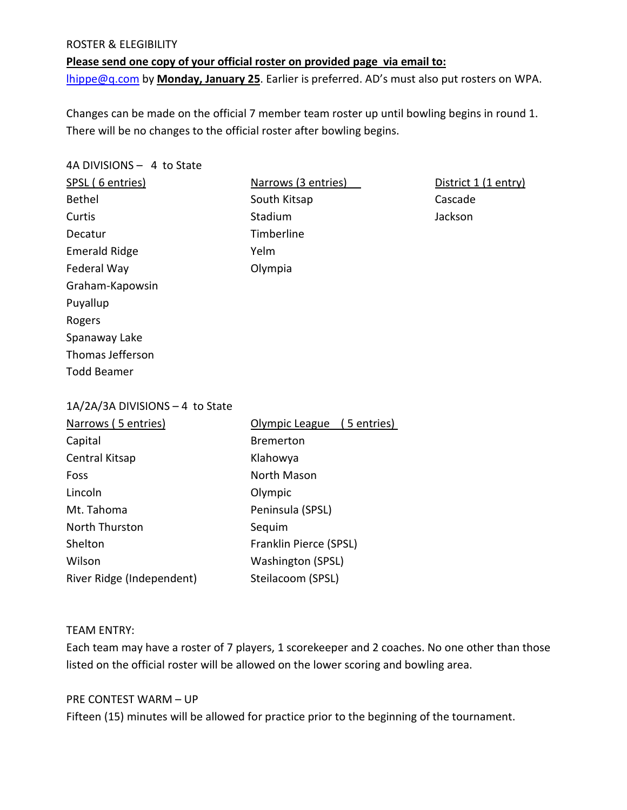#### ROSTER & ELEGIBILITY

**Please send one copy of your official roster on provided page via email to:** [lhippe@q.com](mailto:lhippe@q.com) by **Monday, January 25**. Earlier is preferred. AD's must also put rosters on WPA.

Changes can be made on the official 7 member team roster up until bowling begins in round 1. There will be no changes to the official roster after bowling begins.

4A DIVISIONS – 4 to State SPSL (6 entries) Narrows (3 entries) District 1 (1 entry) Bethel **South Kitsap Cascade** Cascade Curtis **Curtis** Curtis Curtis Curtis Curtis Curtis Curtis Curtis Curtis Curtis Curtis Curtis Curtis Curtis Curtis Decatur **Timberline** Emerald Ridge Yelm Federal Way **Contract Contract Contract Contract Contract Contract Contract Contract Contract Contract Contract Contract Contract Contract Contract Contract Contract Contract Contract Contract Contract Contract Contract Co** Graham-Kapowsin Puyallup Rogers Spanaway Lake Thomas Jefferson Todd Beamer 1A/2A/3A DIVISIONS – 4 to State Narrows ( 5 entries) Olympic League ( 5 entries) Capital **Bremerton** Central Kitsap Klahowya Foss **North Mason** Lincoln Olympic Mt. Tahoma **Peninsula** (SPSL) North Thurston Sequim Shelton Franklin Pierce (SPSL) Wilson Washington (SPSL) River Ridge (Independent) Steilacoom (SPSL)

#### TEAM ENTRY:

Each team may have a roster of 7 players, 1 scorekeeper and 2 coaches. No one other than those listed on the official roster will be allowed on the lower scoring and bowling area.

#### PRE CONTEST WARM – UP

Fifteen (15) minutes will be allowed for practice prior to the beginning of the tournament.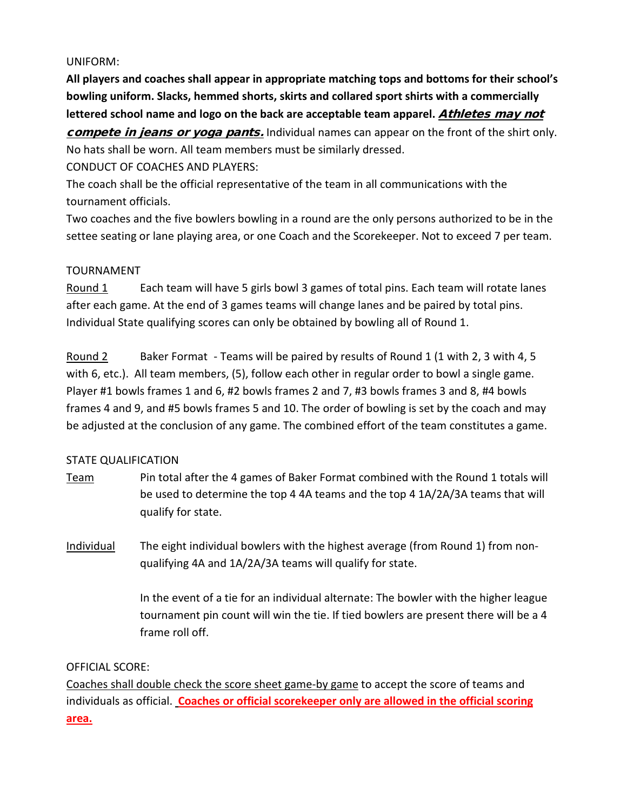#### UNIFORM:

**All players and coaches shall appear in appropriate matching tops and bottoms for their school's bowling uniform. Slacks, hemmed shorts, skirts and collared sport shirts with a commercially**  lettered school name and logo on the back are acceptable team apparel. Athletes may not compete in jeans or yoga pants. Individual names can appear on the front of the shirt only.

No hats shall be worn. All team members must be similarly dressed.

CONDUCT OF COACHES AND PLAYERS:

The coach shall be the official representative of the team in all communications with the tournament officials.

Two coaches and the five bowlers bowling in a round are the only persons authorized to be in the settee seating or lane playing area, or one Coach and the Scorekeeper. Not to exceed 7 per team.

# TOURNAMENT

Round 1 Each team will have 5 girls bowl 3 games of total pins. Each team will rotate lanes after each game. At the end of 3 games teams will change lanes and be paired by total pins. Individual State qualifying scores can only be obtained by bowling all of Round 1.

Round 2 Baker Format - Teams will be paired by results of Round 1 (1 with 2, 3 with 4, 5 with 6, etc.). All team members, (5), follow each other in regular order to bowl a single game. Player #1 bowls frames 1 and 6, #2 bowls frames 2 and 7, #3 bowls frames 3 and 8, #4 bowls frames 4 and 9, and #5 bowls frames 5 and 10. The order of bowling is set by the coach and may be adjusted at the conclusion of any game. The combined effort of the team constitutes a game.

# STATE QUALIFICATION

Team Pin total after the 4 games of Baker Format combined with the Round 1 totals will be used to determine the top 4 4A teams and the top 4 1A/2A/3A teams that will qualify for state.

Individual The eight individual bowlers with the highest average (from Round 1) from nonqualifying 4A and 1A/2A/3A teams will qualify for state.

> In the event of a tie for an individual alternate: The bowler with the higher league tournament pin count will win the tie. If tied bowlers are present there will be a 4 frame roll off.

# OFFICIAL SCORE:

Coaches shall double check the score sheet game-by game to accept the score of teams and individuals as official. **Coaches or official scorekeeper only are allowed in the official scoring area.**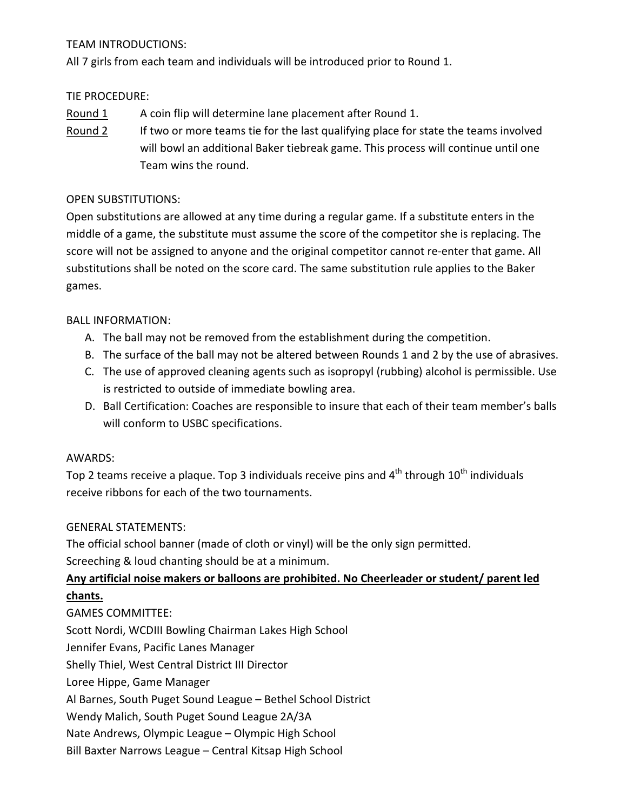# TEAM INTRODUCTIONS:

All 7 girls from each team and individuals will be introduced prior to Round 1.

# TIE PROCEDURE:

Round 1 A coin flip will determine lane placement after Round 1.

Round 2 If two or more teams tie for the last qualifying place for state the teams involved will bowl an additional Baker tiebreak game. This process will continue until one Team wins the round.

# OPEN SUBSTITUTIONS:

Open substitutions are allowed at any time during a regular game. If a substitute enters in the middle of a game, the substitute must assume the score of the competitor she is replacing. The score will not be assigned to anyone and the original competitor cannot re-enter that game. All substitutions shall be noted on the score card. The same substitution rule applies to the Baker games.

# BALL INFORMATION:

- A. The ball may not be removed from the establishment during the competition.
- B. The surface of the ball may not be altered between Rounds 1 and 2 by the use of abrasives.
- C. The use of approved cleaning agents such as isopropyl (rubbing) alcohol is permissible. Use is restricted to outside of immediate bowling area.
- D. Ball Certification: Coaches are responsible to insure that each of their team member's balls will conform to USBC specifications.

# AWARDS:

Top 2 teams receive a plaque. Top 3 individuals receive pins and  $4<sup>th</sup>$  through  $10<sup>th</sup>$  individuals receive ribbons for each of the two tournaments.

# GENERAL STATEMENTS:

The official school banner (made of cloth or vinyl) will be the only sign permitted. Screeching & loud chanting should be at a minimum.

# **Any artificial noise makers or balloons are prohibited. No Cheerleader or student/ parent led chants.**

GAMES COMMITTEE: Scott Nordi, WCDIII Bowling Chairman Lakes High School Jennifer Evans, Pacific Lanes Manager Shelly Thiel, West Central District III Director Loree Hippe, Game Manager Al Barnes, South Puget Sound League – Bethel School District Wendy Malich, South Puget Sound League 2A/3A Nate Andrews, Olympic League – Olympic High School

Bill Baxter Narrows League – Central Kitsap High School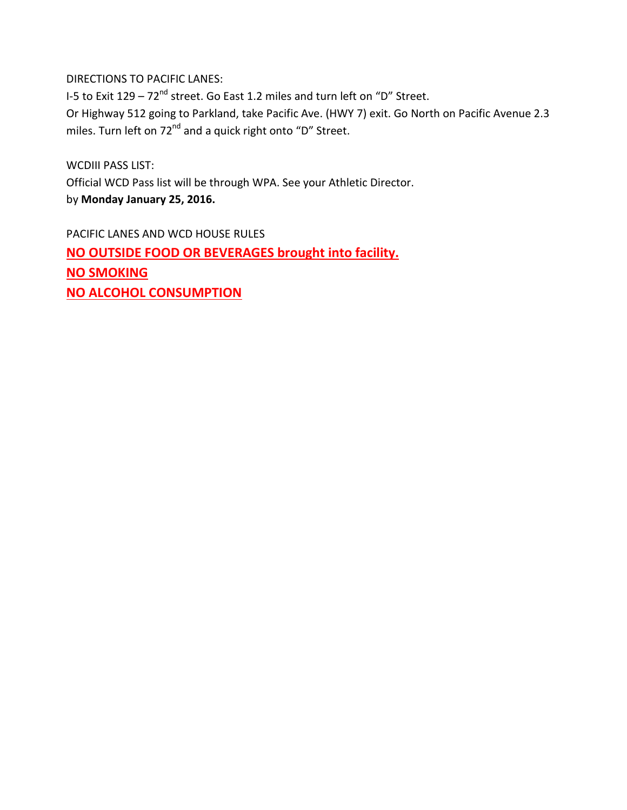DIRECTIONS TO PACIFIC LANES:

I-5 to Exit  $129 - 72<sup>nd</sup>$  street. Go East 1.2 miles and turn left on "D" Street. Or Highway 512 going to Parkland, take Pacific Ave. (HWY 7) exit. Go North on Pacific Avenue 2.3 miles. Turn left on 72<sup>nd</sup> and a quick right onto "D" Street.

WCDIII PASS LIST: Official WCD Pass list will be through WPA. See your Athletic Director. by **Monday January 25, 2016.**

PACIFIC LANES AND WCD HOUSE RULES **NO OUTSIDE FOOD OR BEVERAGES brought into facility. NO SMOKING NO ALCOHOL CONSUMPTION**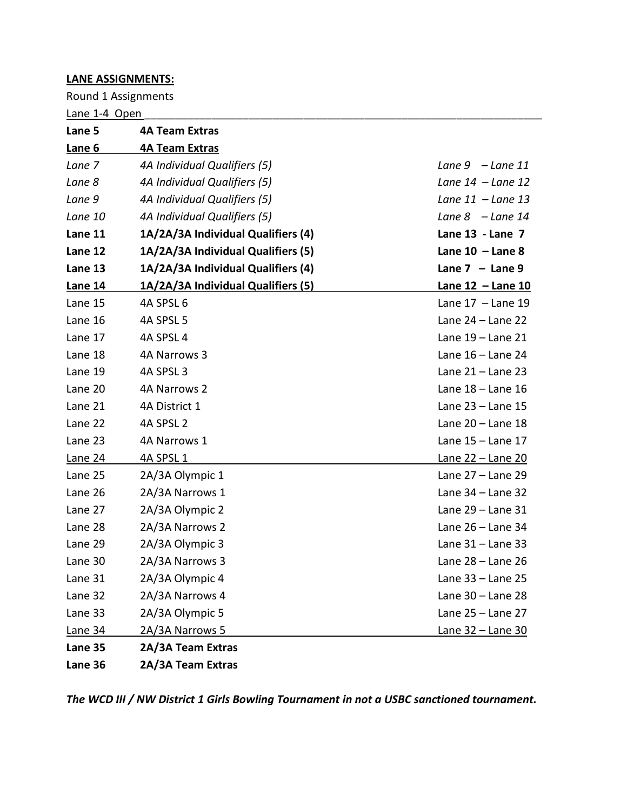#### **LANE ASSIGNMENTS:**

Round 1 Assignments

Lane 1-4 Open \_\_\_\_\_\_\_\_\_\_\_\_\_\_\_\_\_\_\_\_\_\_\_\_\_\_\_\_\_\_\_\_\_\_\_\_\_\_\_\_\_\_\_\_\_\_\_\_\_\_\_\_\_\_\_\_\_\_\_\_\_\_\_\_\_

| Lane 5         | <b>4A Team Extras</b>              |                          |
|----------------|------------------------------------|--------------------------|
| Lane 6         | <b>4A Team Extras</b>              |                          |
| Lane 7         | 4A Individual Qualifiers (5)       | Lane $9$ - Lane 11       |
| Lane 8         | 4A Individual Qualifiers (5)       | Lane $14$ - Lane $12$    |
| Lane 9         | 4A Individual Qualifiers (5)       | Lane $11$ - Lane 13      |
| Lane 10        | 4A Individual Qualifiers (5)       | Lane $8$ - Lane 14       |
| Lane 11        | 1A/2A/3A Individual Qualifiers (4) | Lane 13 - Lane 7         |
| Lane 12        | 1A/2A/3A Individual Qualifiers (5) | Lane $10$ - Lane 8       |
| Lane 13        | 1A/2A/3A Individual Qualifiers (4) | Lane $7 -$ Lane 9        |
| <b>Lane 14</b> | 1A/2A/3A Individual Qualifiers (5) | <u>Lane 12 - Lane 10</u> |
| Lane 15        | 4A SPSL 6                          | Lane $17$ - Lane $19$    |
| Lane 16        | 4A SPSL 5                          | Lane $24$ – Lane $22$    |
| Lane 17        | 4A SPSL 4                          | Lane 19 - Lane 21        |
| Lane 18        | 4A Narrows 3                       | Lane $16$ – Lane 24      |
| Lane 19        | 4A SPSL 3                          | Lane $21 -$ Lane 23      |
| Lane 20        | 4A Narrows 2                       | Lane $18 -$ Lane $16$    |
| Lane 21        | 4A District 1                      | Lane 23 - Lane 15        |
| Lane 22        | 4A SPSL 2                          | Lane $20 -$ Lane $18$    |
| Lane 23        | 4A Narrows 1                       | Lane 15 - Lane 17        |
| Lane 24        | 4A SPSL 1                          | <u>Lane 22 – Lane 20</u> |
| Lane 25        | 2A/3A Olympic 1                    | Lane 27 - Lane 29        |
| Lane 26        | 2A/3A Narrows 1                    | Lane $34$ – Lane $32$    |
| Lane 27        | 2A/3A Olympic 2                    | Lane 29 - Lane 31        |
| Lane 28        | 2A/3A Narrows 2                    | Lane $26$ – Lane $34$    |
| Lane 29        | 2A/3A Olympic 3                    | Lane $31 -$ Lane $33$    |
| Lane 30        | 2A/3A Narrows 3                    | Lane $28 -$ Lane $26$    |
| Lane 31        | 2A/3A Olympic 4                    | Lane 33 - Lane 25        |
| Lane 32        | 2A/3A Narrows 4                    | Lane $30 -$ Lane 28      |
| Lane 33        | 2A/3A Olympic 5                    | Lane 25 - Lane 27        |
| <b>Lane 34</b> | 2A/3A Narrows 5                    | <u>Lane 32 – Lane 30</u> |
| Lane 35        | 2A/3A Team Extras                  |                          |
| Lane 36        | 2A/3A Team Extras                  |                          |

*The WCD III / NW District 1 Girls Bowling Tournament in not a USBC sanctioned tournament.*